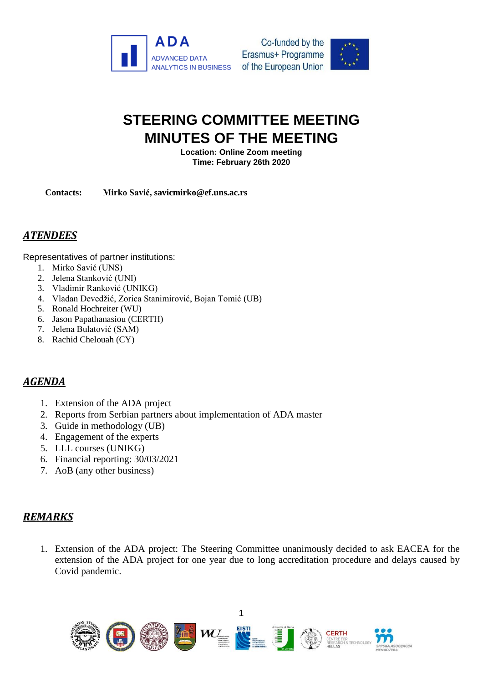



## **STEERING COMMITTEE MEETING MINUTES OF THE MEETING**

**Location: Online Zoom meeting Time: February 26th 2020**

**Contacts: Mirko Savić, savicmirko@ef.uns.ac.rs**

## *ATENDEES*

Representatives of partner institutions:

- 1. Mirko Savić (UNS)
- 2. Jelena Stanković (UNI)
- 3. Vladimir Ranković (UNIKG)
- 4. Vladan Devedžić, Zorica Stanimirović, Bojan Tomić (UB)
- 5. Ronald Hochreiter (WU)
- 6. Jason Papathanasiou (CERTH)
- 7. Jelena Bulatović (SAM)
- 8. Rachid Chelouah (CY)

## *AGENDA*

- 1. Extension of the ADA project
- 2. Reports from Serbian partners about implementation of ADA master
- 3. Guide in methodology (UB)
- 4. Engagement of the experts
- 5. LLL courses (UNIKG)
- 6. Financial reporting: 30/03/2021
- 7. AoB (any other business)

## *REMARKS*

1. Extension of the ADA project: The Steering Committee unanimously decided to ask EACEA for the extension of the ADA project for one year due to long accreditation procedure and delays caused by Covid pandemic.



1